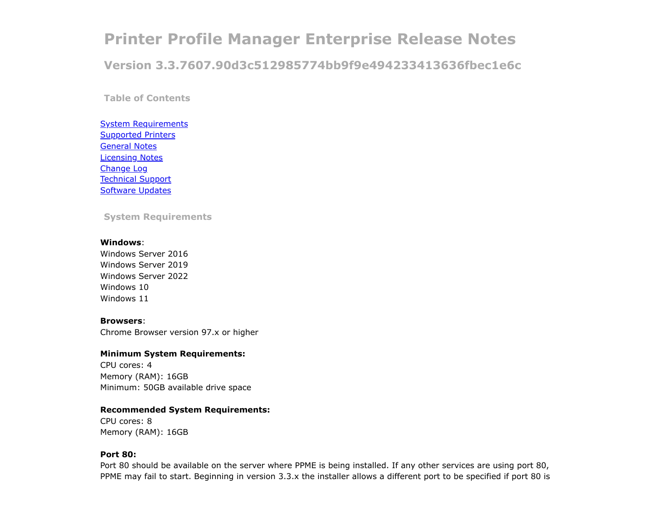# <span id="page-0-1"></span>**Printer Profile Manager Enterprise Release Notes**

**Version 3.3.7607.90d3c512985774bb9f9e494233413636fbec1e6c**

**Table of Contents**

**[System Requirements](#page-0-0)** [Supported Printers](#page-1-0) [General Notes](#page-2-0) [Licensing Notes](#page-4-0) [Change Log](#page-4-1) [Technical Support](#page-12-0) [Software Updates](#page-12-1)

<span id="page-0-0"></span>**System Requirements**

#### **Windows**:

Windows Server 2016 Windows Server 2019 Windows Server 2022 Windows 10 Windows 11

#### **Browsers**:

Chrome Browser version 97.x or higher

## **Minimum System Requirements:**

CPU cores: 4 Memory (RAM): 16GB Minimum: 50GB available drive space

## **Recommended System Requirements:**

CPU cores: 8 Memory (RAM): 16GB

## **Port 80:**

Port 80 should be available on the server where PPME is being installed. If any other services are using port 80, PPME may fail to start. Beginning in version 3.3.x the installer allows a different port to be specified if port 80 is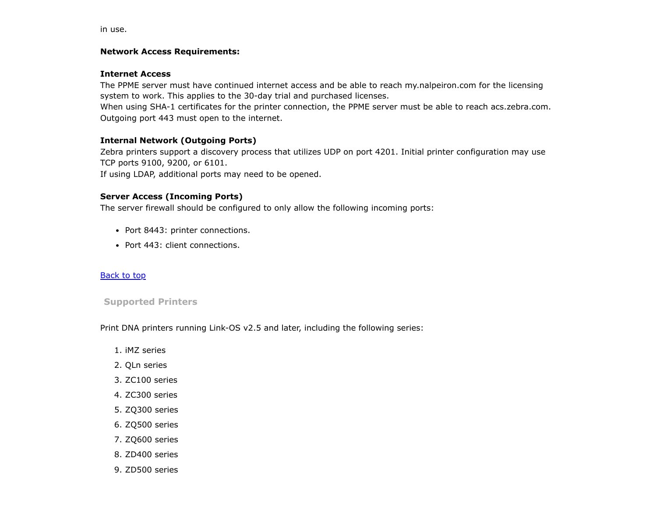in use.

## **Network Access Requirements:**

## **Internet Access**

The PPME server must have continued internet access and be able to reach my.nalpeiron.com for the licensing system to work. This applies to the 30-day trial and purchased licenses.

When using SHA-1 certificates for the printer connection, the PPME server must be able to reach acs.zebra.com. Outgoing port 443 must open to the internet.

# **Internal Network (Outgoing Ports)**

Zebra printers support a discovery process that utilizes UDP on port 4201. Initial printer configuration may use TCP ports 9100, 9200, or 6101.

If using LDAP, additional ports may need to be opened.

# **Server Access (Incoming Ports)**

The server firewall should be configured to only allow the following incoming ports:

- Port 8443: printer connections.
- Port 443: client connections.

## [Back to top](#page-0-1)

## <span id="page-1-0"></span>**Supported Printers**

Print DNA printers running Link-OS v2.5 and later, including the following series:

- 1. iMZ series
- 2. QLn series
- 3. ZC100 series
- 4. ZC300 series
- 5. ZQ300 series
- 6. ZQ500 series
- 7. ZQ600 series
- 8. ZD400 series
- 9. ZD500 series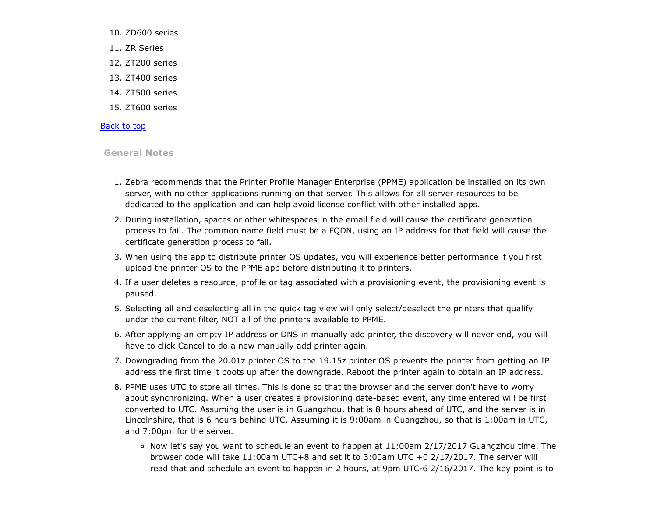- 10. ZD600 series
- 11. ZR Series
- 12. ZT200 series
- 13. ZT400 series
- 14. ZT500 series
- 15. ZT600 series

## [Back to top](#page-0-1)

## <span id="page-2-0"></span>**General Notes**

- 1. Zebra recommends that the Printer Profile Manager Enterprise (PPME) application be installed on its own server, with no other applications running on that server. This allows for all server resources to be dedicated to the application and can help avoid license conflict with other installed apps.
- 2. During installation, spaces or other whitespaces in the email field will cause the certificate generation process to fail. The common name field must be a FQDN, using an IP address for that field will cause the certificate generation process to fail.
- 3. When using the app to distribute printer OS updates, you will experience better performance if you first upload the printer OS to the PPME app before distributing it to printers.
- 4. If a user deletes a resource, profile or tag associated with a provisioning event, the provisioning event is paused.
- 5. Selecting all and deselecting all in the quick tag view will only select/deselect the printers that qualify under the current filter, NOT all of the printers available to PPME.
- 6. After applying an empty IP address or DNS in manually add printer, the discovery will never end, you will have to click Cancel to do a new manually add printer again.
- 7. Downgrading from the 20.01z printer OS to the 19.15z printer OS prevents the printer from getting an IP address the first time it boots up after the downgrade. Reboot the printer again to obtain an IP address.
- 8. PPME uses UTC to store all times. This is done so that the browser and the server don't have to worry about synchronizing. When a user creates a provisioning date-based event, any time entered will be first converted to UTC. Assuming the user is in Guangzhou, that is 8 hours ahead of UTC, and the server is in Lincolnshire, that is 6 hours behind UTC. Assuming it is 9:00am in Guangzhou, so that is 1:00am in UTC, and 7:00pm for the server.
	- $\circ$  Now let's say you want to schedule an event to happen at 11:00am 2/17/2017 Guangzhou time. The browser code will take 11:00am UTC+8 and set it to 3:00am UTC +0 2/17/2017. The server will read that and schedule an event to happen in 2 hours, at 9pm UTC-6 2/16/2017. The key point is to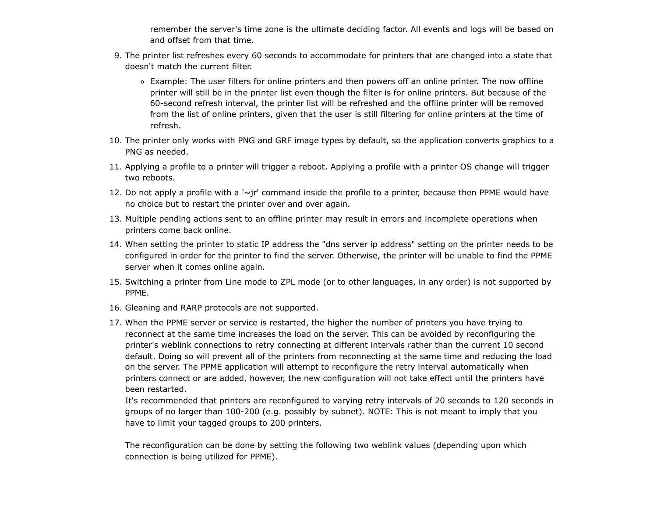remember the server's time zone is the ultimate deciding factor. All events and logs will be based on and offset from that time.

- 9. The printer list refreshes every 60 seconds to accommodate for printers that are changed into a state that doesn't match the current filter.
	- Example: The user filters for online printers and then powers off an online printer. The now offline printer will still be in the printer list even though the filter is for online printers. But because of the 60-second refresh interval, the printer list will be refreshed and the offline printer will be removed from the list of online printers, given that the user is still filtering for online printers at the time of refresh.
- 10. The printer only works with PNG and GRF image types by default, so the application converts graphics to a PNG as needed.
- 11. Applying a profile to a printer will trigger a reboot. Applying a profile with a printer OS change will trigger two reboots.
- 12. Do not apply a profile with a '~jr' command inside the profile to a printer, because then PPME would have no choice but to restart the printer over and over again.
- 13. Multiple pending actions sent to an offline printer may result in errors and incomplete operations when printers come back online.
- 14. When setting the printer to static IP address the "dns server ip address" setting on the printer needs to be configured in order for the printer to find the server. Otherwise, the printer will be unable to find the PPME server when it comes online again.
- 15. Switching a printer from Line mode to ZPL mode (or to other languages, in any order) is not supported by PPME.
- 16. Gleaning and RARP protocols are not supported.
- 17. When the PPME server or service is restarted, the higher the number of printers you have trying to reconnect at the same time increases the load on the server. This can be avoided by reconfiguring the printer's weblink connections to retry connecting at different intervals rather than the current 10 second default. Doing so will prevent all of the printers from reconnecting at the same time and reducing the load on the server. The PPME application will attempt to reconfigure the retry interval automatically when printers connect or are added, however, the new configuration will not take effect until the printers have been restarted.

It's recommended that printers are reconfigured to varying retry intervals of 20 seconds to 120 seconds in groups of no larger than 100-200 (e.g. possibly by subnet). NOTE: This is not meant to imply that you have to limit your tagged groups to 200 printers.

The reconfiguration can be done by setting the following two weblink values (depending upon which connection is being utilized for PPME).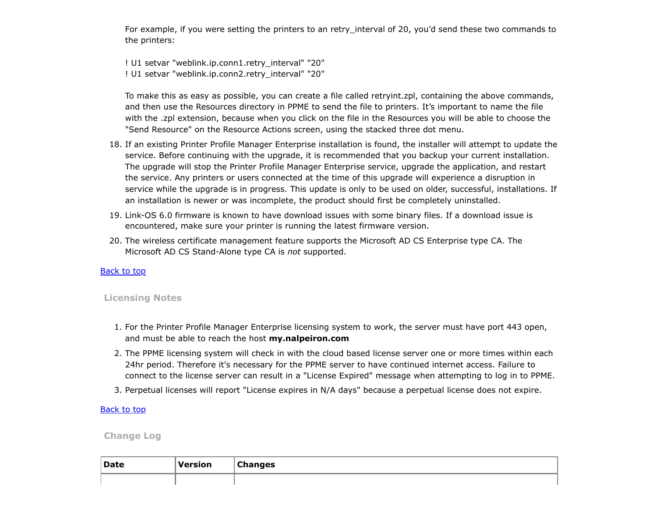For example, if you were setting the printers to an retry\_interval of 20, you'd send these two commands to the printers:

! U1 setvar "weblink.ip.conn1.retry\_interval" "20" ! U1 setvar "weblink.ip.conn2.retry\_interval" "20"

To make this as easy as possible, you can create a file called retryint.zpl, containing the above commands, and then use the Resources directory in PPME to send the file to printers. It's important to name the file with the .zpl extension, because when you click on the file in the Resources you will be able to choose the "Send Resource" on the Resource Actions screen, using the stacked three dot menu.

- 18. If an existing Printer Profile Manager Enterprise installation is found, the installer will attempt to update the service. Before continuing with the upgrade, it is recommended that you backup your current installation. The upgrade will stop the Printer Profile Manager Enterprise service, upgrade the application, and restart the service. Any printers or users connected at the time of this upgrade will experience a disruption in service while the upgrade is in progress. This update is only to be used on older, successful, installations. If an installation is newer or was incomplete, the product should first be completely uninstalled.
- 19. Link-OS 6.0 firmware is known to have download issues with some binary files. If a download issue is encountered, make sure your printer is running the latest firmware version.
- 20. The wireless certificate management feature supports the Microsoft AD CS Enterprise type CA. The Microsoft AD CS Stand-Alone type CA is *not* supported.

## **[Back to top](#page-0-1)**

## <span id="page-4-0"></span>**Licensing Notes**

- 1. For the Printer Profile Manager Enterprise licensing system to work, the server must have port 443 open, and must be able to reach the host **my.nalpeiron.com**
- 2. The PPME licensing system will check in with the cloud based license server one or more times within each 24hr period. Therefore it's necessary for the PPME server to have continued internet access. Failure to connect to the license server can result in a "License Expired" message when attempting to log in to PPME.
- 3. Perpetual licenses will report "License expires in N/A days" because a perpetual license does not expire.

## **[Back to top](#page-0-1)**

## <span id="page-4-1"></span>**Change Log**

| Date | <b>Version</b> | <b>Changes</b><br>$\sim$ |
|------|----------------|--------------------------|
|      |                |                          |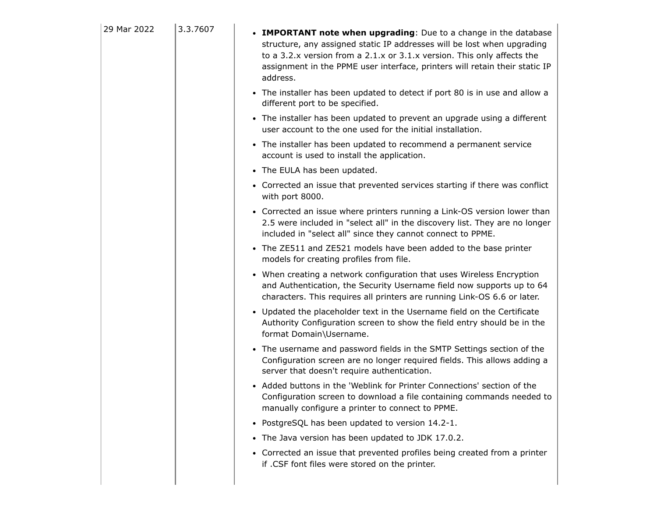| 29 Mar 2022 | 3.3.7607 | • IMPORTANT note when upgrading: Due to a change in the database<br>structure, any assigned static IP addresses will be lost when upgrading<br>to a 3.2.x version from a 2.1.x or 3.1.x version. This only affects the<br>assignment in the PPME user interface, printers will retain their static IP<br>address. |
|-------------|----------|-------------------------------------------------------------------------------------------------------------------------------------------------------------------------------------------------------------------------------------------------------------------------------------------------------------------|
|             |          | • The installer has been updated to detect if port 80 is in use and allow a<br>different port to be specified.                                                                                                                                                                                                    |
|             |          | • The installer has been updated to prevent an upgrade using a different<br>user account to the one used for the initial installation.                                                                                                                                                                            |
|             |          | • The installer has been updated to recommend a permanent service<br>account is used to install the application.                                                                                                                                                                                                  |
|             |          | • The EULA has been updated.                                                                                                                                                                                                                                                                                      |
|             |          | • Corrected an issue that prevented services starting if there was conflict<br>with port 8000.                                                                                                                                                                                                                    |
|             |          | • Corrected an issue where printers running a Link-OS version lower than<br>2.5 were included in "select all" in the discovery list. They are no longer<br>included in "select all" since they cannot connect to PPME.                                                                                            |
|             |          | • The ZE511 and ZE521 models have been added to the base printer<br>models for creating profiles from file.                                                                                                                                                                                                       |
|             |          | • When creating a network configuration that uses Wireless Encryption<br>and Authentication, the Security Username field now supports up to 64<br>characters. This requires all printers are running Link-OS 6.6 or later.                                                                                        |
|             |          | • Updated the placeholder text in the Username field on the Certificate<br>Authority Configuration screen to show the field entry should be in the<br>format Domain\Username.                                                                                                                                     |
|             |          | • The username and password fields in the SMTP Settings section of the<br>Configuration screen are no longer required fields. This allows adding a<br>server that doesn't require authentication.                                                                                                                 |
|             |          | • Added buttons in the 'Weblink for Printer Connections' section of the<br>Configuration screen to download a file containing commands needed to<br>manually configure a printer to connect to PPME.                                                                                                              |
|             |          | • PostgreSQL has been updated to version 14.2-1.                                                                                                                                                                                                                                                                  |
|             |          | • The Java version has been updated to JDK 17.0.2.                                                                                                                                                                                                                                                                |
|             |          | • Corrected an issue that prevented profiles being created from a printer<br>if .CSF font files were stored on the printer.                                                                                                                                                                                       |
|             |          |                                                                                                                                                                                                                                                                                                                   |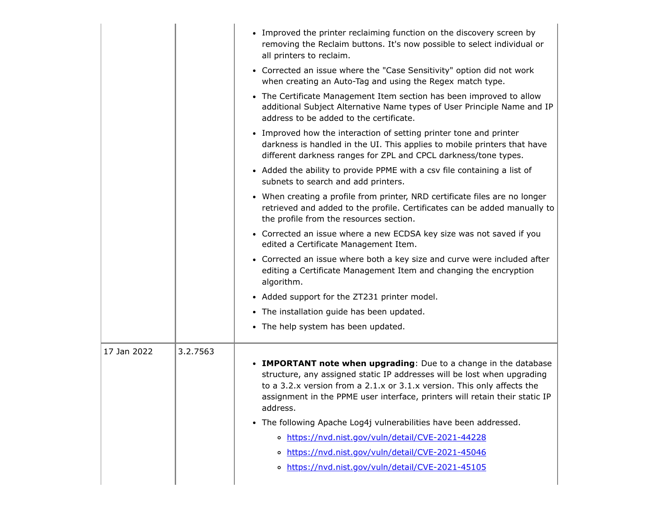|             |          | • Improved the printer reclaiming function on the discovery screen by<br>removing the Reclaim buttons. It's now possible to select individual or<br>all printers to reclaim.                                                                                                                                      |
|-------------|----------|-------------------------------------------------------------------------------------------------------------------------------------------------------------------------------------------------------------------------------------------------------------------------------------------------------------------|
|             |          | • Corrected an issue where the "Case Sensitivity" option did not work<br>when creating an Auto-Tag and using the Regex match type.                                                                                                                                                                                |
|             |          | • The Certificate Management Item section has been improved to allow<br>additional Subject Alternative Name types of User Principle Name and IP<br>address to be added to the certificate.                                                                                                                        |
|             |          | • Improved how the interaction of setting printer tone and printer<br>darkness is handled in the UI. This applies to mobile printers that have<br>different darkness ranges for ZPL and CPCL darkness/tone types.                                                                                                 |
|             |          | • Added the ability to provide PPME with a csv file containing a list of<br>subnets to search and add printers.                                                                                                                                                                                                   |
|             |          | • When creating a profile from printer, NRD certificate files are no longer<br>retrieved and added to the profile. Certificates can be added manually to<br>the profile from the resources section.                                                                                                               |
|             |          | • Corrected an issue where a new ECDSA key size was not saved if you<br>edited a Certificate Management Item.                                                                                                                                                                                                     |
|             |          | • Corrected an issue where both a key size and curve were included after<br>editing a Certificate Management Item and changing the encryption<br>algorithm.                                                                                                                                                       |
|             |          | • Added support for the ZT231 printer model.                                                                                                                                                                                                                                                                      |
|             |          | • The installation guide has been updated.                                                                                                                                                                                                                                                                        |
|             |          | • The help system has been updated.                                                                                                                                                                                                                                                                               |
| 17 Jan 2022 | 3.2.7563 |                                                                                                                                                                                                                                                                                                                   |
|             |          | • IMPORTANT note when upgrading: Due to a change in the database<br>structure, any assigned static IP addresses will be lost when upgrading<br>to a 3.2.x version from a 2.1.x or 3.1.x version. This only affects the<br>assignment in the PPME user interface, printers will retain their static IP<br>address. |
|             |          | • The following Apache Log4j vulnerabilities have been addressed.                                                                                                                                                                                                                                                 |
|             |          | o https://nvd.nist.gov/vuln/detail/CVE-2021-44228                                                                                                                                                                                                                                                                 |
|             |          | o https://nvd.nist.gov/vuln/detail/CVE-2021-45046                                                                                                                                                                                                                                                                 |
|             |          | https://nvd.nist.gov/vuln/detail/CVE-2021-45105<br>$\circ$                                                                                                                                                                                                                                                        |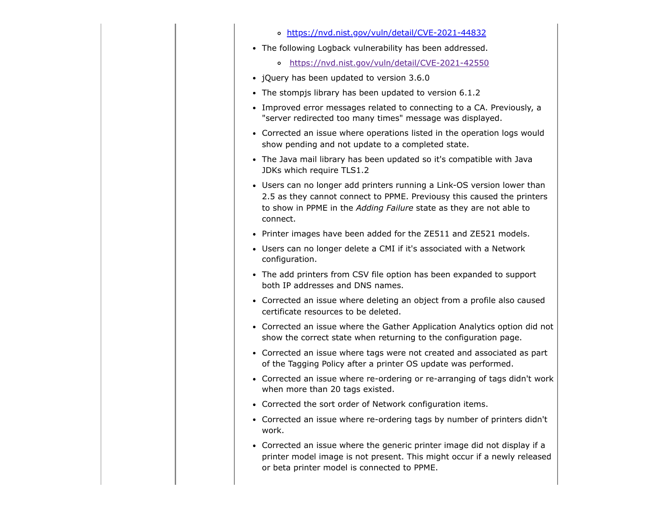|           | o https://nvd.nist.gov/vuln/detail/CVE-2021-44832                                                                                                                                                                                    |
|-----------|--------------------------------------------------------------------------------------------------------------------------------------------------------------------------------------------------------------------------------------|
|           | • The following Logback vulnerability has been addressed.                                                                                                                                                                            |
|           | https://nvd.nist.gov/vuln/detail/CVE-2021-42550<br>$\mathbf{o}$                                                                                                                                                                      |
| $\bullet$ | jQuery has been updated to version 3.6.0                                                                                                                                                                                             |
| ٠         | The stompjs library has been updated to version 6.1.2                                                                                                                                                                                |
| ٠         | Improved error messages related to connecting to a CA. Previously, a<br>"server redirected too many times" message was displayed.                                                                                                    |
| $\bullet$ | Corrected an issue where operations listed in the operation logs would<br>show pending and not update to a completed state.                                                                                                          |
| $\bullet$ | The Java mail library has been updated so it's compatible with Java<br>JDKs which require TLS1.2                                                                                                                                     |
|           | • Users can no longer add printers running a Link-OS version lower than<br>2.5 as they cannot connect to PPME. Previousy this caused the printers<br>to show in PPME in the Adding Failure state as they are not able to<br>connect. |
| ٠         | Printer images have been added for the ZE511 and ZE521 models.                                                                                                                                                                       |
| $\bullet$ | Users can no longer delete a CMI if it's associated with a Network<br>configuration.                                                                                                                                                 |
| $\bullet$ | The add printers from CSV file option has been expanded to support<br>both IP addresses and DNS names.                                                                                                                               |
|           | • Corrected an issue where deleting an object from a profile also caused<br>certificate resources to be deleted.                                                                                                                     |
|           | • Corrected an issue where the Gather Application Analytics option did not<br>show the correct state when returning to the configuration page.                                                                                       |
|           | • Corrected an issue where tags were not created and associated as part<br>of the Tagging Policy after a printer OS update was performed.                                                                                            |
| $\bullet$ | Corrected an issue where re-ordering or re-arranging of tags didn't work<br>when more than 20 tags existed.                                                                                                                          |
| ٠         | Corrected the sort order of Network configuration items.                                                                                                                                                                             |
|           | Corrected an issue where re-ordering tags by number of printers didn't<br>work.                                                                                                                                                      |
| $\bullet$ | Corrected an issue where the generic printer image did not display if a<br>printer model image is not present. This might occur if a newly released<br>or beta printer model is connected to PPME.                                   |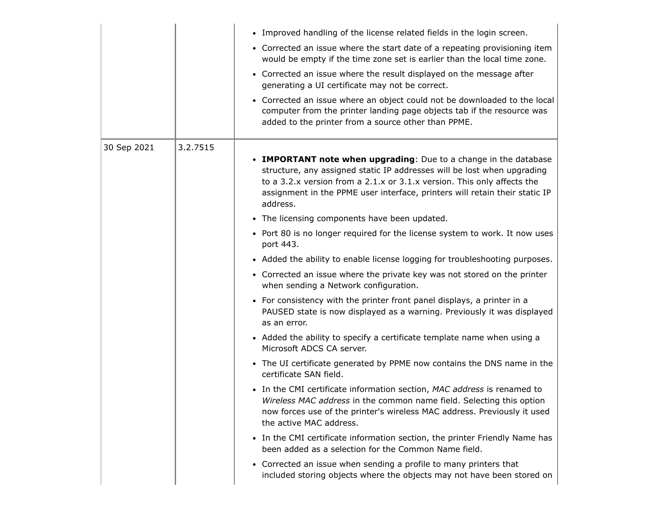|             |          | • Improved handling of the license related fields in the login screen.<br>• Corrected an issue where the start date of a repeating provisioning item<br>would be empty if the time zone set is earlier than the local time zone.<br>• Corrected an issue where the result displayed on the message after<br>generating a UI certificate may not be correct.        |
|-------------|----------|--------------------------------------------------------------------------------------------------------------------------------------------------------------------------------------------------------------------------------------------------------------------------------------------------------------------------------------------------------------------|
|             |          | • Corrected an issue where an object could not be downloaded to the local<br>computer from the printer landing page objects tab if the resource was<br>added to the printer from a source other than PPME.                                                                                                                                                         |
| 30 Sep 2021 | 3.2.7515 | • IMPORTANT note when upgrading: Due to a change in the database<br>structure, any assigned static IP addresses will be lost when upgrading<br>to a 3.2.x version from a 2.1.x or 3.1.x version. This only affects the<br>assignment in the PPME user interface, printers will retain their static IP<br>address.<br>• The licensing components have been updated. |
|             |          | • Port 80 is no longer required for the license system to work. It now uses<br>port 443.                                                                                                                                                                                                                                                                           |
|             |          | • Added the ability to enable license logging for troubleshooting purposes.<br>• Corrected an issue where the private key was not stored on the printer<br>when sending a Network configuration.                                                                                                                                                                   |
|             |          | • For consistency with the printer front panel displays, a printer in a<br>PAUSED state is now displayed as a warning. Previously it was displayed<br>as an error.                                                                                                                                                                                                 |
|             |          | • Added the ability to specify a certificate template name when using a<br>Microsoft ADCS CA server.                                                                                                                                                                                                                                                               |
|             |          | • The UI certificate generated by PPME now contains the DNS name in the<br>certificate SAN field.                                                                                                                                                                                                                                                                  |
|             |          | • In the CMI certificate information section, MAC address is renamed to<br>Wireless MAC address in the common name field. Selecting this option<br>now forces use of the printer's wireless MAC address. Previously it used<br>the active MAC address.                                                                                                             |
|             |          | • In the CMI certificate information section, the printer Friendly Name has<br>been added as a selection for the Common Name field.                                                                                                                                                                                                                                |
|             |          | • Corrected an issue when sending a profile to many printers that                                                                                                                                                                                                                                                                                                  |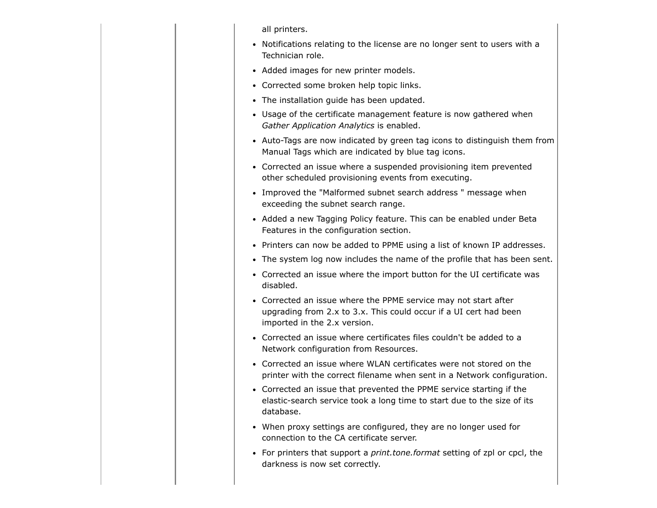all printers.

- Notifications relating to the license are no longer sent to users with a Technician role.
- Added images for new printer models.
- Corrected some broken help topic links.
- The installation guide has been updated.
- Usage of the certificate management feature is now gathered when *Gather Application Analytics* is enabled.
- Auto-Tags are now indicated by green tag icons to distinguish them from Manual Tags which are indicated by blue tag icons.
- Corrected an issue where a suspended provisioning item prevented other scheduled provisioning events from executing.
- Improved the "Malformed subnet search address" message when exceeding the subnet search range.
- Added a new Tagging Policy feature. This can be enabled under Beta Features in the configuration section.
- Printers can now be added to PPME using a list of known IP addresses.
- The system log now includes the name of the profile that has been sent.
- Corrected an issue where the import button for the UI certificate was disabled.
- Corrected an issue where the PPME service may not start after upgrading from 2.x to 3.x. This could occur if a UI cert had been imported in the 2.x version.
- Corrected an issue where certificates files couldn't be added to a Network configuration from Resources.
- Corrected an issue where WLAN certificates were not stored on the printer with the correct filename when sent in a Network configuration.
- Corrected an issue that prevented the PPME service starting if the elastic-search service took a long time to start due to the size of its database.
- When proxy settings are configured, they are no longer used for connection to the CA certificate server.
- For printers that support a *print.tone.format* setting of zpl or cpcl, the darkness is now set correctly.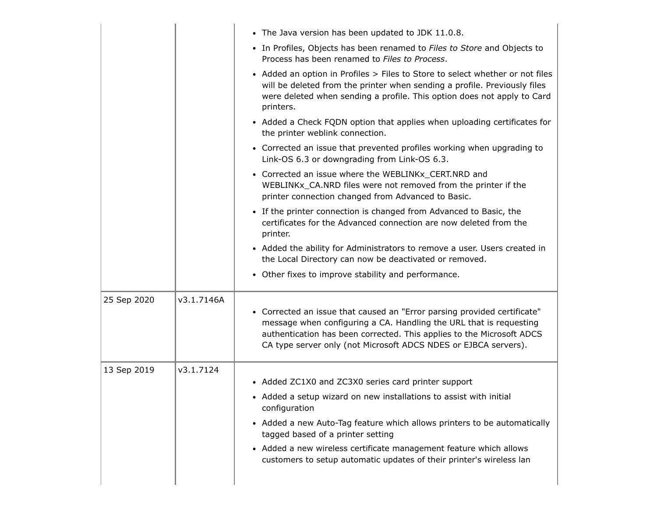|             |            | • The Java version has been updated to JDK 11.0.8.                                                                                                                                                                                                                                         |
|-------------|------------|--------------------------------------------------------------------------------------------------------------------------------------------------------------------------------------------------------------------------------------------------------------------------------------------|
|             |            | • In Profiles, Objects has been renamed to Files to Store and Objects to<br>Process has been renamed to Files to Process.                                                                                                                                                                  |
|             |            | • Added an option in Profiles > Files to Store to select whether or not files<br>will be deleted from the printer when sending a profile. Previously files<br>were deleted when sending a profile. This option does not apply to Card<br>printers.                                         |
|             |            | • Added a Check FQDN option that applies when uploading certificates for<br>the printer weblink connection.                                                                                                                                                                                |
|             |            | • Corrected an issue that prevented profiles working when upgrading to<br>Link-OS 6.3 or downgrading from Link-OS 6.3.                                                                                                                                                                     |
|             |            | • Corrected an issue where the WEBLINKx_CERT.NRD and<br>WEBLINKx_CA.NRD files were not removed from the printer if the<br>printer connection changed from Advanced to Basic.                                                                                                               |
|             |            | • If the printer connection is changed from Advanced to Basic, the<br>certificates for the Advanced connection are now deleted from the<br>printer.                                                                                                                                        |
|             |            | • Added the ability for Administrators to remove a user. Users created in<br>the Local Directory can now be deactivated or removed.                                                                                                                                                        |
|             |            | • Other fixes to improve stability and performance.                                                                                                                                                                                                                                        |
| 25 Sep 2020 | v3.1.7146A | • Corrected an issue that caused an "Error parsing provided certificate"<br>message when configuring a CA. Handling the URL that is requesting<br>authentication has been corrected. This applies to the Microsoft ADCS<br>CA type server only (not Microsoft ADCS NDES or EJBCA servers). |
| 13 Sep 2019 | v3.1.7124  | • Added ZC1X0 and ZC3X0 series card printer support                                                                                                                                                                                                                                        |
|             |            | • Added a setup wizard on new installations to assist with initial<br>configuration                                                                                                                                                                                                        |
|             |            | • Added a new Auto-Tag feature which allows printers to be automatically<br>tagged based of a printer setting                                                                                                                                                                              |
|             |            | • Added a new wireless certificate management feature which allows                                                                                                                                                                                                                         |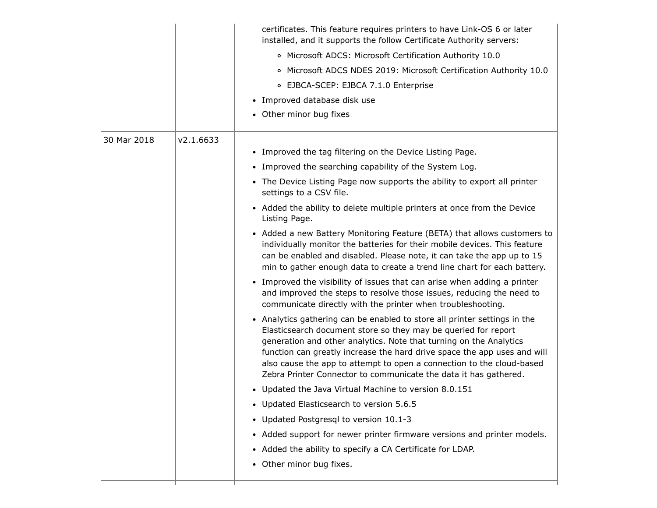|             |           | certificates. This feature requires printers to have Link-OS 6 or later<br>installed, and it supports the follow Certificate Authority servers:                                                                                                                                                                                                                                                                                            |
|-------------|-----------|--------------------------------------------------------------------------------------------------------------------------------------------------------------------------------------------------------------------------------------------------------------------------------------------------------------------------------------------------------------------------------------------------------------------------------------------|
|             |           | o Microsoft ADCS: Microsoft Certification Authority 10.0                                                                                                                                                                                                                                                                                                                                                                                   |
|             |           | o Microsoft ADCS NDES 2019: Microsoft Certification Authority 10.0                                                                                                                                                                                                                                                                                                                                                                         |
|             |           | ○ EJBCA-SCEP: EJBCA 7.1.0 Enterprise                                                                                                                                                                                                                                                                                                                                                                                                       |
|             |           | • Improved database disk use                                                                                                                                                                                                                                                                                                                                                                                                               |
|             |           | • Other minor bug fixes                                                                                                                                                                                                                                                                                                                                                                                                                    |
| 30 Mar 2018 | v2.1.6633 |                                                                                                                                                                                                                                                                                                                                                                                                                                            |
|             |           | • Improved the tag filtering on the Device Listing Page.                                                                                                                                                                                                                                                                                                                                                                                   |
|             |           | • Improved the searching capability of the System Log.                                                                                                                                                                                                                                                                                                                                                                                     |
|             |           | • The Device Listing Page now supports the ability to export all printer<br>settings to a CSV file.                                                                                                                                                                                                                                                                                                                                        |
|             |           | • Added the ability to delete multiple printers at once from the Device<br>Listing Page.                                                                                                                                                                                                                                                                                                                                                   |
|             |           | • Added a new Battery Monitoring Feature (BETA) that allows customers to<br>individually monitor the batteries for their mobile devices. This feature<br>can be enabled and disabled. Please note, it can take the app up to 15<br>min to gather enough data to create a trend line chart for each battery.                                                                                                                                |
|             |           | • Improved the visibility of issues that can arise when adding a printer<br>and improved the steps to resolve those issues, reducing the need to<br>communicate directly with the printer when troubleshooting.                                                                                                                                                                                                                            |
|             |           | • Analytics gathering can be enabled to store all printer settings in the<br>Elasticsearch document store so they may be queried for report<br>generation and other analytics. Note that turning on the Analytics<br>function can greatly increase the hard drive space the app uses and will<br>also cause the app to attempt to open a connection to the cloud-based<br>Zebra Printer Connector to communicate the data it has gathered. |
|             |           | • Updated the Java Virtual Machine to version 8.0.151                                                                                                                                                                                                                                                                                                                                                                                      |
|             |           | • Updated Elasticsearch to version 5.6.5                                                                                                                                                                                                                                                                                                                                                                                                   |
|             |           | • Updated Postgresgl to version 10.1-3                                                                                                                                                                                                                                                                                                                                                                                                     |
|             |           | • Added support for newer printer firmware versions and printer models.                                                                                                                                                                                                                                                                                                                                                                    |
|             |           | • Added the ability to specify a CA Certificate for LDAP.                                                                                                                                                                                                                                                                                                                                                                                  |
|             |           | • Other minor bug fixes.                                                                                                                                                                                                                                                                                                                                                                                                                   |
|             |           |                                                                                                                                                                                                                                                                                                                                                                                                                                            |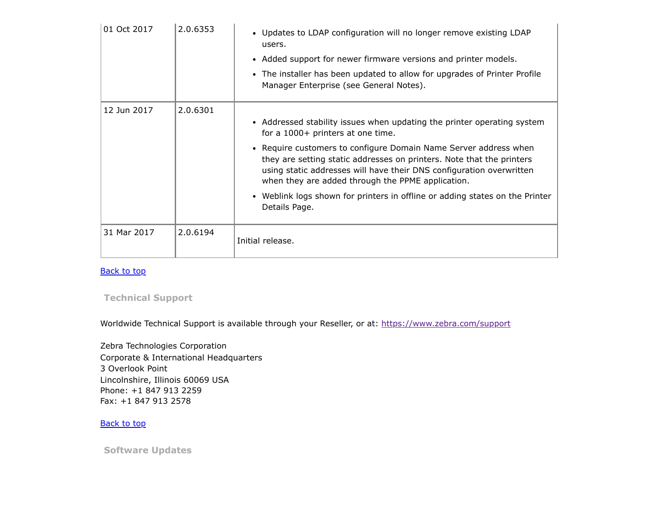| 01 Oct 2017 | 2.0.6353 | • Updates to LDAP configuration will no longer remove existing LDAP<br>users.<br>• Added support for newer firmware versions and printer models.<br>• The installer has been updated to allow for upgrades of Printer Profile<br>Manager Enterprise (see General Notes).                                                                                                                                                                                                                |
|-------------|----------|-----------------------------------------------------------------------------------------------------------------------------------------------------------------------------------------------------------------------------------------------------------------------------------------------------------------------------------------------------------------------------------------------------------------------------------------------------------------------------------------|
| 12 Jun 2017 | 2.0.6301 | • Addressed stability issues when updating the printer operating system<br>for a 1000+ printers at one time.<br>• Require customers to configure Domain Name Server address when<br>they are setting static addresses on printers. Note that the printers<br>using static addresses will have their DNS configuration overwritten<br>when they are added through the PPME application.<br>• Weblink logs shown for printers in offline or adding states on the Printer<br>Details Page. |
| 31 Mar 2017 | 2.0.6194 | Initial release.                                                                                                                                                                                                                                                                                                                                                                                                                                                                        |

**[Back to top](#page-0-1)** 

<span id="page-12-0"></span>**Technical Support**

Worldwide Technical Support is available through your Reseller, or at: <https://www.zebra.com/support>

Zebra Technologies Corporation Corporate & International Headquarters 3 Overlook Point Lincolnshire, Illinois 60069 USA Phone: +1 847 913 2259 Fax: +1 847 913 2578

**[Back to top](#page-0-1)** 

<span id="page-12-1"></span>**Software Updates**